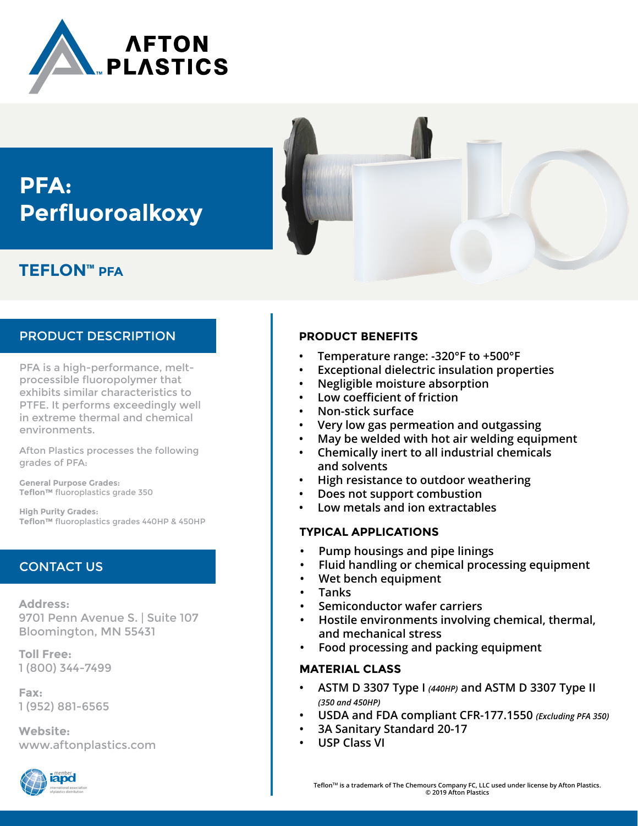

# **PFA: Perfluoroalkoxy**

## **TEFLON™ PFA**

## PRODUCT DESCRIPTION

PFA is a high-performance, meltprocessible fluoropolymer that exhibits similar characteristics to PTFE. It performs exceedingly well in extreme thermal and chemical environments.

Afton Plastics processes the following grades of PFA:

**General Purpose Grades: Teflon™** fluoroplastics grade 350

**High Purity Grades: Teflon™** fluoroplastics grades 440HP & 450HP

## CONTACT US

**Address:** 9701 Penn Avenue S. | Suite 107 Bloomington, MN 55431

**Toll Free:** 1 (800) 344-7499

**Fax:** 1 (952) 881-6565

**Website:** www.aftonplastics.com





## **PRODUCT BENEFITS**

- **• Temperature range: -320°F to +500°F**
- **• Exceptional dielectric insulation properties**
- **• Negligible moisture absorption**
- **• Low coefficient of friction**
- **• Non-stick surface**
- **• Very low gas permeation and outgassing**
- **• May be welded with hot air welding equipment**
- **• Chemically inert to all industrial chemicals and solvents**
- **• High resistance to outdoor weathering**
- **• Does not support combustion**
- **• Low metals and ion extractables**

### **TYPICAL APPLICATIONS**

- **• Pump housings and pipe linings**
- **• Fluid handling or chemical processing equipment**
- **• Wet bench equipment**
- **• Tanks**
- **• Semiconductor wafer carriers**
- **• Hostile environments involving chemical, thermal, and mechanical stress**
- **• Food processing and packing equipment**

### **MATERIAL CLASS**

- **• ASTM D 3307 Type I** *(440HP)* **and ASTM D 3307 Type II**  *(350 and 450HP)*
- **• USDA and FDA compliant CFR-177.1550** *(Excluding PFA 350)*
- **• 3A Sanitary Standard 20-17**
- **• USP Class VI**